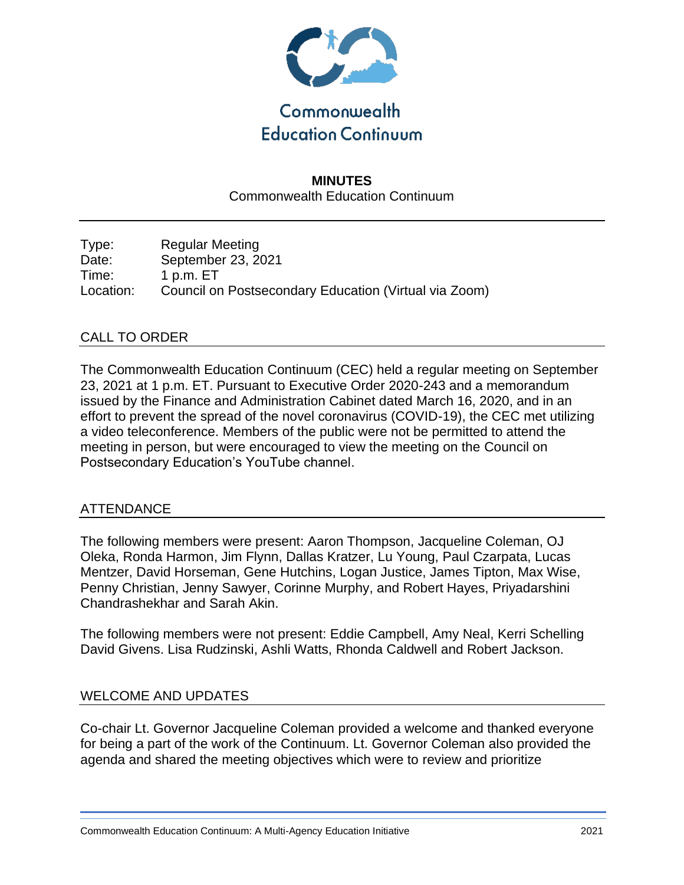

## **MINUTES** Commonwealth Education Continuum

Type: Regular Meeting Date: September 23, 2021 Time: 1 p.m. ET Location: Council on Postsecondary Education (Virtual via Zoom)

## CALL TO ORDER

The Commonwealth Education Continuum (CEC) held a regular meeting on September 23, 2021 at 1 p.m. ET. Pursuant to Executive Order 2020-243 and a memorandum issued by the Finance and Administration Cabinet dated March 16, 2020, and in an effort to prevent the spread of the novel coronavirus (COVID-19), the CEC met utilizing a video teleconference. Members of the public were not be permitted to attend the meeting in person, but were encouraged to view the meeting on the Council on Postsecondary Education's YouTube channel.

#### ATTENDANCE

The following members were present: Aaron Thompson, Jacqueline Coleman, OJ Oleka, Ronda Harmon, Jim Flynn, Dallas Kratzer, Lu Young, Paul Czarpata, Lucas Mentzer, David Horseman, Gene Hutchins, Logan Justice, James Tipton, Max Wise, Penny Christian, Jenny Sawyer, Corinne Murphy, and Robert Hayes, Priyadarshini Chandrashekhar and Sarah Akin.

The following members were not present: Eddie Campbell, Amy Neal, Kerri Schelling David Givens. Lisa Rudzinski, Ashli Watts, Rhonda Caldwell and Robert Jackson.

#### WELCOME AND UPDATES

Co-chair Lt. Governor Jacqueline Coleman provided a welcome and thanked everyone for being a part of the work of the Continuum. Lt. Governor Coleman also provided the agenda and shared the meeting objectives which were to review and prioritize